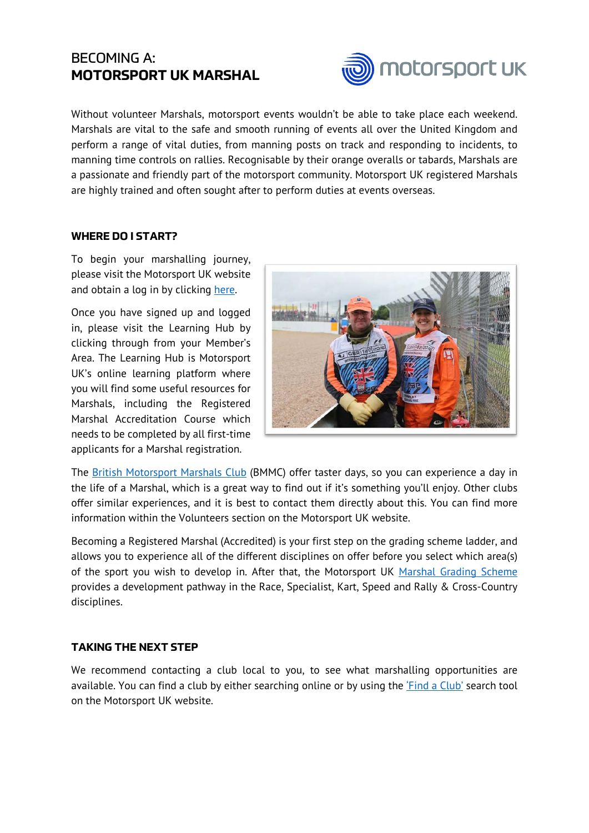## BECOMING A: **MOTORSPORT UK MARSHAL**



Without volunteer Marshals, motorsport events wouldn't be able to take place each weekend. Marshals are vital to the safe and smooth running of events all over the United Kingdom and perform a range of vital duties, from manning posts on track and responding to incidents, to manning time controls on rallies. Recognisable by their orange overalls or tabards, Marshals are a passionate and friendly part of the motorsport community. Motorsport UK registered Marshals are highly trained and often sought after to perform duties at events overseas.

## **WHERE DO I START?**

To begin your marshalling journey, please visit the Motorsport UK website and obtain a log in by clicking [here.](https://members.motorsportuk.org/) 

Once you have signed up and logged in, please visit the Learning Hub by clicking through from your Member's Area. The Learning Hub is Motorsport UK's online learning platform where you will find some useful resources for Marshals, including the Registered Marshal Accreditation Course which needs to be completed by all first-time applicants for a Marshal registration.



The [British Motorsport Marshals Club](https://www.marshals.co.uk/) (BMMC) offer taster days, so you can experience a day in the life of a Marshal, which is a great way to find out if it's something you'll enjoy. Other clubs offer similar experiences, and it is best to contact them directly about this. You can find more information within the Volunteers section on the Motorsport UK website.

Becoming a Registered Marshal (Accredited) is your first step on the grading scheme ladder, and allows you to experience all of the different disciplines on offer before you select which area(s) of the sport you wish to develop in. After that, the Motorsport UK [Marshal Grading Scheme](http://www.motorsportuk.org/wp-content/uploads/2019/11/2019-10-01-grading-schemes-interactive.pdf) provides a development pathway in the Race, Specialist, Kart, Speed and Rally & Cross-Country disciplines.

## **TAKING THE NEXT STEP**

We recommend contacting a club local to you, to see what marshalling opportunities are available. You can find a club by either searching online or by using the ['Find a Club'](https://www.motorsportuk.org/clubs-organisers/find-clubs/) search tool on the Motorsport UK website.